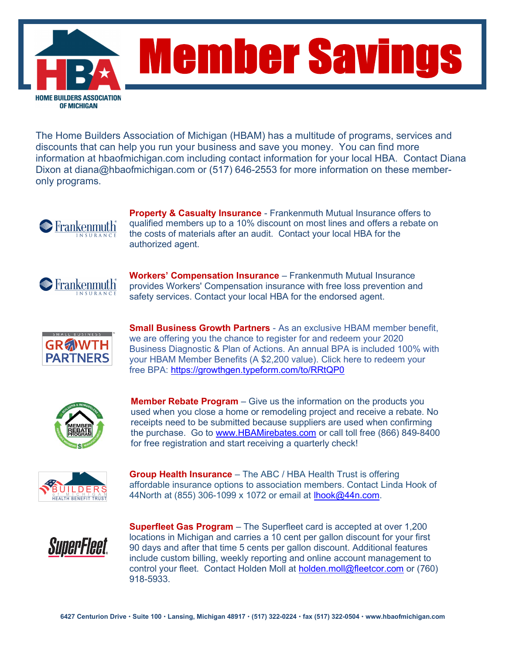

The Home Builders Association of Michigan (HBAM) has a multitude of programs, services and discounts that can help you run your business and save you money. You can find more information at hbaofmichigan.com including contact information for your local HBA. Contact Diana Dixon at diana@hbaofmichigan.com or (517) 646-2553 for more information on these memberonly programs.



**Property & Casualty Insurance** - Frankenmuth Mutual Insurance offers to qualified members up to a 10% discount on most lines and offers a rebate on the costs of materials after an audit. Contact your local HBA for the authorized agent.



Workers' Compensation Insurance – Frankenmuth Mutual Insurance provides Workers' Compensation insurance with free loss prevention and safety services. Contact your local HBA for the endorsed agent.



**Small Business Growth Partners** - As an exclusive HBAM member benefit, we are offering you the chance to register for and redeem your 2020 Business Diagnostic & Plan of Actions. An annual BPA is included 100% with your HBAM Member Benefits (A \$2,200 value). Click here to redeem your free BPA: https://growthgen.typeform.com/to/RRtQP0



**Member Rebate Program** – Give us the information on the products you used when you close a home or remodeling project and receive a rebate. No receipts need to be submitted because suppliers are used when confirming the purchase. Go to www.HBAMirebates.com or call toll free (866) 849-8400 for free registration and start receiving a quarterly check!



**Group Health Insurance** – The ABC / HBA Health Trust is offering affordable insurance options to association members. Contact Linda Hook of 44North at (855) 306-1099 x 1072 or email at lhook@44n.com.



**Superfleet Gas Program** – The Superfleet card is accepted at over 1,200 locations in Michigan and carries a 10 cent per gallon discount for your first 90 days and after that time 5 cents per gallon discount. Additional features include custom billing, weekly reporting and online account management to control your fleet. Contact Holden Moll at holden.moll@fleetcor.com or (760) 918-5933.